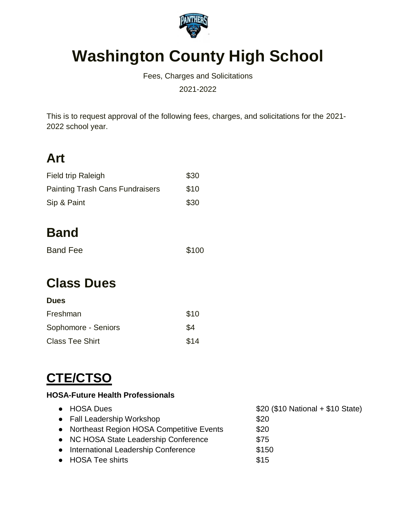

# **Washington County High School**

Fees, Charges and Solicitations

2021-2022

This is to request approval of the following fees, charges, and solicitations for the 2021- 2022 school year.

## **Art**

| Field trip Raleigh                     | \$30 |
|----------------------------------------|------|
| <b>Painting Trash Cans Fundraisers</b> | \$10 |
| Sip & Paint                            | \$30 |

## **Band**

| <b>Band Fee</b> | \$100 |
|-----------------|-------|
|                 |       |

## **Class Dues**

| <b>Dues</b>            |      |
|------------------------|------|
| Freshman               | \$10 |
| Sophomore - Seniors    | \$4  |
| <b>Class Tee Shirt</b> | \$14 |

# **CTE/CTSO**

#### **HOSA-Future Health Professionals**

| • HOSA Dues                                | $$20$ (\$10 National + \$10 State) |
|--------------------------------------------|------------------------------------|
| • Fall Leadership Workshop                 | \$20                               |
| • Northeast Region HOSA Competitive Events | \$20                               |
| • NC HOSA State Leadership Conference      | \$75                               |
| • International Leadership Conference      | \$150                              |
| • HOSA Tee shirts                          | \$15                               |
|                                            |                                    |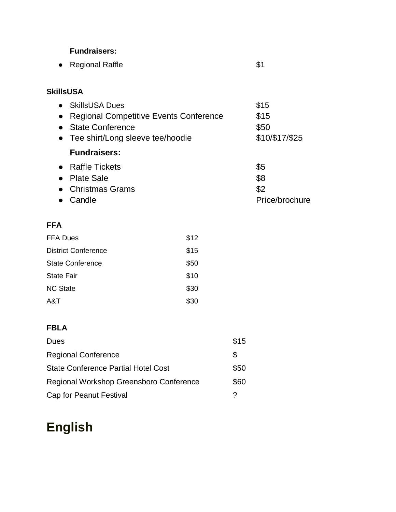#### **Fundraisers:**

|  | • Regional Raffle |  |  |
|--|-------------------|--|--|
|--|-------------------|--|--|

### **SkillsUSA**

| <b>SkillsUSA Dues</b>                         | \$15           |
|-----------------------------------------------|----------------|
| <b>Regional Competitive Events Conference</b> | \$15           |
| <b>State Conference</b>                       | \$50           |
| • Tee shirt/Long sleeve tee/hoodie            | \$10/\$17/\$25 |
| <b>Fundraisers:</b>                           |                |
| • Raffle Tickets                              | \$5            |
| • Plate Sale                                  | \$8            |
| • Christmas Grams                             | \$2            |
| Candle                                        | Price/brochure |
|                                               |                |

#### **FFA**

| <b>FFA Dues</b>            | \$12 |
|----------------------------|------|
| <b>District Conference</b> | \$15 |
| <b>State Conference</b>    | \$50 |
| <b>State Fair</b>          | \$10 |
| <b>NC State</b>            | \$30 |
| A&T                        | \$30 |

### **FBLA**

| Dues                                       | \$15 |
|--------------------------------------------|------|
| <b>Regional Conference</b>                 | S    |
| <b>State Conference Partial Hotel Cost</b> | \$50 |
| Regional Workshop Greensboro Conference    | \$60 |
| Cap for Peanut Festival                    |      |

## **English**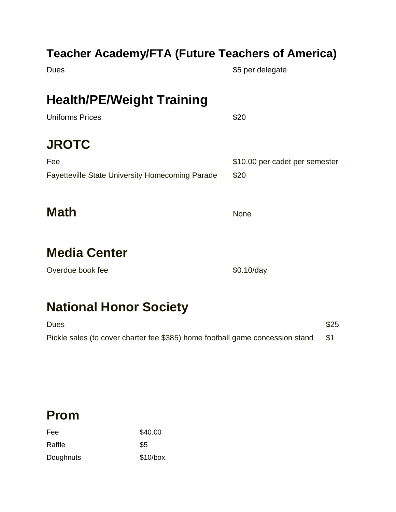### **Teacher Academy/FTA (Future Teachers of America)**

Dues **Example 2018 35 per delegate** 

## **Health/PE/Weight Training**

| <b>Uniforms Prices</b>                                 | \$20                           |
|--------------------------------------------------------|--------------------------------|
| <b>JROTC</b>                                           |                                |
| Fee                                                    | \$10.00 per cadet per semester |
| <b>Fayetteville State University Homecoming Parade</b> | \$20                           |
|                                                        |                                |
|                                                        |                                |

**Math** None

## **Media Center**

Overdue book fee  $$0.10/day$ 

## **National Honor Society**

| <b>Dues</b>                                                                   | \$25 |
|-------------------------------------------------------------------------------|------|
| Pickle sales (to cover charter fee \$385) home football game concession stand |      |

### **Prom**

| Fee       | \$40.00    |
|-----------|------------|
| Raffle    | \$5        |
| Doughnuts | $$10/b$ ox |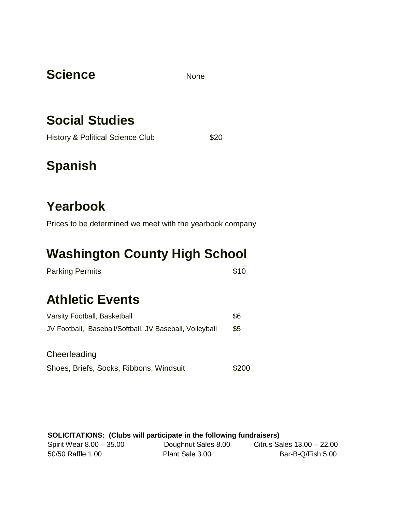### Science None

## **Social Studies**

History & Political Science Club \$20

## **Spanish**

## **Yearbook**

Prices to be determined we meet with the yearbook company

## **Washington County High School**

| <b>Parking Permits</b> | \$10 |
|------------------------|------|
|                        |      |

## **Athletic Events**

| Varsity Football, Basketball                            |     |  |  |
|---------------------------------------------------------|-----|--|--|
| JV Football, Baseball/Softball, JV Baseball, Volleyball | \$5 |  |  |
| Cheerleading                                            |     |  |  |

|  |  |  | Shoes, Briefs, Socks, Ribbons, Windsuit |  | \$200 |
|--|--|--|-----------------------------------------|--|-------|
|--|--|--|-----------------------------------------|--|-------|

| <b>SOLICITATIONS:</b> (Clubs will participate in the following fundraisers) |                     |                            |  |  |  |  |
|-----------------------------------------------------------------------------|---------------------|----------------------------|--|--|--|--|
| Spirit Wear 8.00 - 35.00                                                    | Doughnut Sales 8.00 | Citrus Sales 13.00 - 22.00 |  |  |  |  |
| 50/50 Raffle 1.00                                                           | Plant Sale 3.00     | Bar-B-Q/Fish 5.00          |  |  |  |  |